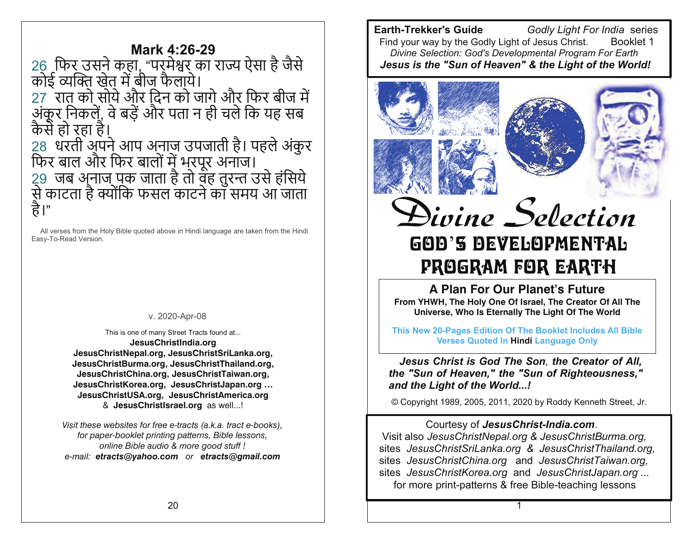# Mark 4:26-29 26 फिर उसने कहा, "परमेश्वर का राज्य ऐसा है जैसे<br>कोई व्यक्ति खेत में बीज फैलाये।<br>27 रात को सोये और दिन को जागे और फिर बीज में अंकुर निकलें, वे बडें और पता न ही चले कि यह सब कैसें हो रहा है। 28 धरती अपने आप अनाज उपजाती है। पहले अंकुर 20 वरती जैने हैं और जाने में भरपूर अनाज।<br>फिर बाल और फिर बालों में भरपूर अनाज।<br>29 जब अनाज पक जाता है तो वह तुरन्त उसे हंसिये<br>से काटता है क्योंकि फसल काटने का समय आ जाता

All verses from the Holy Bible quoted above in Hindi language are taken from the Hindi Easy-To-Read Version.

#### v. 2020-Apr-08

This is one of many Street Tracts found at... JesusChristIndia.org JesusChristNepal.org, JesusChristSriLanka.org, JesusChristBurma.org, JesusChristThailand.org, JesusChristChina.org, JesusChristTaiwan.org, JesusChristKorea.org, JesusChristJapan.org ... JesusChristUSA.org, JesusChristAmerica.org & JesusChristIsrael.org as well...!

Visit these websites for free e-tracts (a.k.a. tract e-books). for paper-booklet printing patterns, Bible lessons, online Bible audio & more good stuff ! e-mail: etracts@yahoo.com or etracts@gmail.com

**Earth-Trekker's Guide** Godly Light For India series Find vour way by the Godly Light of Jesus Christ. Booklet 1 Divine Selection: God's Developmental Program For Earth Jesus is the "Sun of Heaven" & the Light of the World!



# GOD'S DEVELOPMENTAL PROGRAM FOR EARTH

A Plan For Our Planet's Future From YHWH, The Holy One Of Israel, The Creator Of All The Universe, Who Is Eternally The Light Of The World

This New 20-Pages Edition Of The Booklet Includes All Bible **Verses Quoted In Hindi Language Only** 

Jesus Christ is God The Son, the Creator of All, the "Sun of Heaven," the "Sun of Righteousness," and the Light of the World...!

© Copyright 1989, 2005, 2011, 2020 by Roddy Kenneth Street, Jr.

## Courtesy of JesusChrist-India.com.

Visit also JesusChristNepal.org & JesusChristBurma.org, sites JesusChristSriLanka.org & JesusChristThailand.org, sites JesusChristChina.org and JesusChristTaiwan.org. sites JesusChristKorea.org and JesusChristJapan.org ... for more print-patterns & free Bible-teaching lessons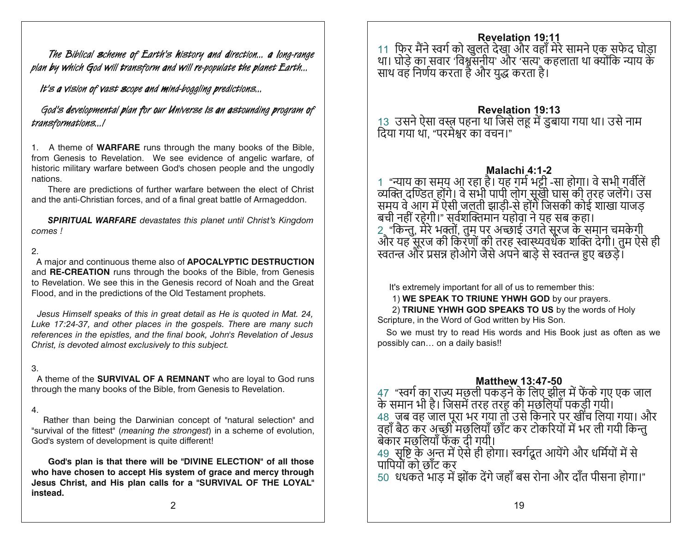The Biblical scheme of Earth's history and direction... a long-range plan by which God will transform and will re-populate the planet Earth...

It's a vision of vast scope and mind-boggling predictions...

God's developmental plan for our Universe is an astounding program of transformations...

1. A theme of **WARFARE** runs through the many books of the Bible, from Genesis to Revelation. We see evidence of angelic warfare, of historic military warfare between God's chosen people and the ungodly nations.

There are predictions of further warfare between the elect of Christ and the anti-Christian forces, and of a final great battle of Armageddon.

**SPIRITUAL WARFARE** devastates this planet until Christ's Kingdom comes!

#### $\mathcal{P}$

A major and continuous theme also of APOCALYPTIC DESTRUCTION and **RE-CREATION** runs through the books of the Bible, from Genesis to Revelation. We see this in the Genesis record of Noah and the Great Flood, and in the predictions of the Old Testament prophets.

Jesus Himself speaks of this in great detail as He is quoted in Mat. 24, Luke 17:24-37, and other places in the gospels. There are many such references in the epistles, and the final book, John's Revelation of Jesus Christ, is devoted almost exclusively to this subject.

#### 3.

A theme of the **SURVIVAL OF A REMNANT** who are loyal to God runs through the many books of the Bible, from Genesis to Revelation.

#### 4.

Rather than being the Darwinian concept of "natural selection" and "survival of the fittest" (meaning the strongest) in a scheme of evolution, God's system of development is quite different!

God's plan is that there will be "DIVINE ELECTION" of all those who have chosen to accept His system of grace and mercy through Jesus Christ, and His plan calls for a "SURVIVAL OF THE LOYAL" instead.

# **Revelation 19:11**

11 फिर मैंने स्वर्ग को खुलते देखा और वहाँ मेरे सामने एक सफेद घोडा था। घोड़े का सवार विश्वसनीय और 'सत्य कहलाता था क्योंकि न्याय के साथ वहं निर्णय करता हैं और युद्ध करता है।

## **Revelation 19:13**

13) उसने ऐसा वस्त्र पहना था जिसे लह में डुबाया गया था। उसे नाम दिया गया था. "परमेश्वर का वचन।"

# Malachi 4:1-2

1 "न्याय का समय आ रहा है। यह गर्म भट्टी -सा होगा। वे सभी गर्वति<br>व्यक्ति दण्डित होंगे। वे सभी पापी लोग सूखी घासू की तरह जलेंगे। उस समय वे आग में ऐसी जलती झाड़ी-से होंगे जिसकी कोई शाखा याजड़ बची नहीं रहेगी।" सर्वशक्तिमान यहोवा ने यह सब कहा। 2 "किन्तु, मेरे भक्तों, तुम् पर् अच्छाई उगते सूरज के समान् चमकेगी और यह सुरज की किरणों की तरह स्वास्थ्यवर्धेक शक्ति देगी। तुम ऐसे ही स्वतन्त्र और प्रसन्न होओगे जैसे अपने बाडे से स्वतन्त्र हए बछडे।

It's extremely important for all of us to remember this:

1) WE SPEAK TO TRIUNE YHWH GOD by our prayers.

2) TRIUNE YHWH GOD SPEAKS TO US by the words of Holy Scripture, in the Word of God written by His Son.

So we must try to read His words and His Book just as often as we possibly can... on a daily basis!!

# **Matthew 13:47-50**

47 "स्वर्ग का राज्य मछली पकड़ने के लिए झील में फेंके गए एक जाल<br>के समान भी है। जिसमें तरह तरहू की् मूछलि्याँ पकड़ी गूयी। 48 जब वह जाल पूरा भर गया तो उसे किनारे पर खींच लिया गया। और<br>वहाँ बैठ कर अच्छी मछलियाँ छाँट कर टोकरियों में भर ली गयी किन्तु बेकार मछलियाँ फेंक दी गयी।

49 सृष्टि के अन्त में ऐसे ही होगा। स्वर्गद्रत आयेंगे और धर्मियों में से पापियों को छाँट कर

50 धधकते भाड में झोंक देंगे जहाँ बस रोना और दाँत पीसना होगा।"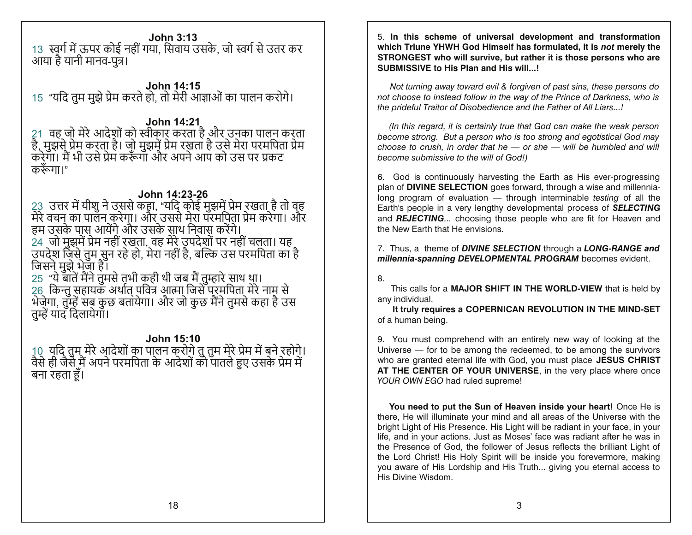### **John 3:13**

13 स्वर्ग में ऊपर कोई नहीं गया, सिवाय उसके, जो स्वर्ग से उतर कर आया है यानी मानव-पत्र।

John 14:15 15 "यदि तुम मुझे प्रेम करते हो, तो मेरी आज्ञाओं का पालन करोगे।

## **John 14:21**

21) वह जो मेरे आदेशों को स्वीकार करता है और उनका पालन करता<br>है, मुझसे प्रेम करता है। जो मुझमें प्रेम रखता है उसे मेरा परमपिता प्रेम<br>करेगा। मैं भी उसे प्रेम करूँगा और अपने आप को उस पर प्रकट करूँगा।"

## John 14:23-26

23) उत्तर में यीशु ने उससे कहा, "यदि कोई मुझमें प्रेम रखता है तो वह<br>मेरे वचन का पालन करेगा। और उससे मेरा परमपिता प्रेम करेगा। और<br>हम उसके पास् आयेंगे और उसके साथ निवास करेंगे। -<br>24) जो मुझमें प्रेम नहीं रखता, वह मेरे उपदेशों पर नहीं चलता। यह<br>उपदेश जिसे तुम सुन रहे हो, मेरा नहीं है, बल्कि उस परमपिता का है

जिसने मुझे भेजा है। 25 "ये बातें मैंने तुमसे तभी कही थी जब मैं तुम्हारे साथ था। 26 किन्तु सहायक अर्थात् पवित्र आत्मा जिसे पुरमपिता मेरे नाम से भेजेगा, तुम्हें सब कुछ बतांयेगा। और जो कुछ मैंने तुमसे कहा है उस तम्हें याद दिलायेगा।

#### **John 15:10**

10) यदि तुम मेरे आदेशों का पालन करोगे तु तुम मेरे प्रेम में बने रहोगे।<br>वैसे ही जैसे मैं अपने परमपिता के आदेशों को पातले हुए उसके प्रेम में बना रहता हैं।

5. In this scheme of universal development and transformation which Triune YHWH God Himself has formulated, it is not merely the STRONGEST who will survive, but rather it is those persons who are **SUBMISSIVE to His Plan and His will...!** 

Not turning away toward evil & forgiven of past sins, these persons do not choose to instead follow in the way of the Prince of Darkness, who is the prideful Traitor of Disobedience and the Father of All Liars...!

(In this regard, it is certainly true that God can make the weak person become strong. But a person who is too strong and egotistical God may choose to crush, in order that he  $-$  or she  $-$  will be humbled and will become submissive to the will of God!)

6. God is continuously harvesting the Earth as His ever-progressing plan of DIVINE SELECTION goes forward, through a wise and millennialong program of evaluation  $-$  through interminable testing of all the Earth's people in a very lengthy developmental process of **SELECTING** and REJECTING... choosing those people who are fit for Heaven and the New Farth that He envisions

7. Thus, a theme of **DIVINE SELECTION** through a **LONG-RANGE** and millennia-spanning DEVELOPMENTAL PROGRAM becomes evident.

8.

This calls for a MAJOR SHIFT IN THE WORLD-VIEW that is held by any individual.

It truly requires a COPERNICAN REVOLUTION IN THE MIND-SET of a human being.

9. You must comprehend with an entirely new way of looking at the Universe — for to be among the redeemed, to be among the survivors who are granted eternal life with God, you must place JESUS CHRIST AT THE CENTER OF YOUR UNIVERSE, in the very place where once YOUR OWN EGO had ruled supreme!

You need to put the Sun of Heaven inside your heart! Once He is there, He will illuminate your mind and all areas of the Universe with the bright Light of His Presence. His Light will be radiant in your face, in your life, and in your actions. Just as Moses' face was radiant after he was in the Presence of God, the follower of Jesus reflects the brilliant Light of the Lord Christ! His Holy Spirit will be inside you forevermore, making you aware of His Lordship and His Truth... giving you eternal access to His Divine Wisdom.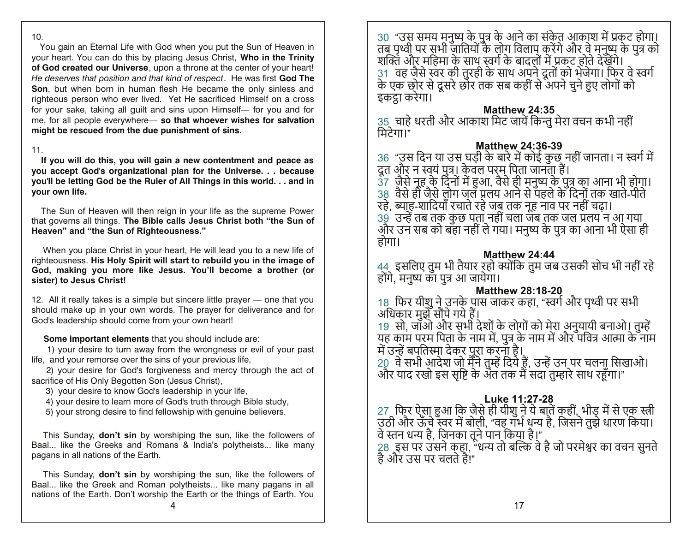#### $10.$

You gain an Eternal Life with God when you put the Sun of Heaven in your heart. You can do this by placing Jesus Christ, Who in the Trinity of God created our Universe, upon a throne at the center of your heart! He deserves that position and that kind of respect. He was first God The Son, but when born in human flesh He became the only sinless and righteous person who ever lived. Yet He sacrificed Himself on a cross for your sake, taking all guilt and sins upon Himself— for you and for me, for all people everywhere- so that whoever wishes for salvation might be rescued from the due punishment of sins.

#### $11.$

If you will do this, you will gain a new contentment and peace as you accept God's organizational plan for the Universe. . . because you'll be letting God be the Ruler of All Things in this world... and in vour own life.

The Sun of Heaven will then reign in your life as the supreme Power that governs all things. The Bible calls Jesus Christ both "the Sun of Heaven" and "the Sun of Righteousness."

When you place Christ in your heart, He will lead you to a new life of righteousness. His Holy Spirit will start to rebuild you in the image of God, making you more like Jesus. You'll become a brother (or sister) to Jesus Christ!

12. All it really takes is a simple but sincere little prayer — one that you should make up in your own words. The prayer for deliverance and for God's leadership should come from your own heart!

Some important elements that you should include are:

1) your desire to turn away from the wrongness or evil of your past life, and your remorse over the sins of your previous life,

2) your desire for God's forgiveness and mercy through the act of sacrifice of His Only Begotten Son (Jesus Christ),

3) your desire to know God's leadership in your life,

4) your desire to learn more of God's truth through Bible study,

5) your strong desire to find fellowship with genuine believers.

This Sunday, **don't sin** by worshiping the sun, like the followers of Baal... like the Greeks and Romans & India's polytheists... like many pagans in all nations of the Earth.

This Sunday, **don't sin** by worshiping the sun, like the followers of Baal... like the Greek and Roman polytheists... like many pagans in all nations of the Earth. Don't worship the Earth or the things of Earth. You

30 "उस समय मनुष्य के पुत्र के आने का संकेत आकाश में प्रकट होगा।<br>तब पृथ्वी पर सभी जातियों के लोग विलाप करेंगे और वे मनुष्य के पुत्र को शक्ति और महिमा के साथ स्वर्ग के बादलों में प्रकट होते देखेंगे। - सम्मान्य नार नार ना पर सम्मान्य सम्मान्य सम्मान्य सम्मान्य स्वर्गा<br>31) वह जैसे स्वर की तुरही के साथ अपने दूतों को भेजेगा। फिर वे स्वर्ग<br>के एक छोर से दूसरे छोर तक सब कहीं से अपने चुने हुए लोगों को इकट्ठा करेगा।

#### Matthew 24:35

35) चाहे धरती और आकाश मिट जायें किन्तु मेरा वचन कभी नहीं मिटेगा।"

# **Matthew 24:36-39**

36 "उस दिन या उस घडी के बारे में कोई कुछ नहीं जानता। न स्वर्ग में दुत और न स्वयं पुत्र। केवंल परम पिता जानता हैं।

 $37$  जैसे नह के दिनों में हुआ, वैसे ही मनुष्य के पुत्र का आना भी होगा।

38) वैसे ही जैसे लोग जल प्रलय आने से पहले के दिनों तक खाते-पीते

रहे, ब्याह-शादियाँ रचाते रहे जब तक नूह नाव पर नहीं चढ़ा।

39 उन्हें तब तक कुछ पता नहीं चला जेंब तक जल प्रलय न आ गया और उन सब को बहा नहीं ले गया। मनुष्य के पुत्र का आना भी ऐसा ही होगा।

#### Matthew 24:44

44 इसलिए तुम भी तैयार रहो क्योंकि तुम जब उसकी सोच भी नहीं रहे होंगे. मनुष्य कॉ पुत्र आ जायेगा।

# **Matthew 28:18-20**

18 फिर यीशु ने उनके पास जाकर कहा, "स्वर्ग और पृथ्वी पर सभी अधिकार मुझेँ सौंपे गये हैं।

19) सो, जॉओ और सभी देशों के लोगों को मेरा अनुयायी बनाओ। तुम्हें यह काम परम पिता के नाम में, पुत्र के नाम में और पवित्र आत्मा के नाम में उन्हें बपतिस्मा देकर पूरा करना है।

-<br>20) वे सभी आदेश जो मैंने तुम्हें दिये हैं, उन्हें उन पर चलना सिखाओ।<br>और याद रखो इस सृष्टि के अंत तक मैं सदा तुम्हारे साथ रहूँगा।"

#### Luke 11:27-28

27 फिर ऐसा हुआ कि जैसे ही यीशु ने ये बातें कूहीं, भीड़ में से एकू स्त्री उठी और ऊँचे स्वर में बोली, "वह गॅर्भ धन्य है. जिसने तुझे धारण किया। वे स्तन धन्य है. जिनका तुने पान किया है।"

28 इस पर उसने कहा, "धन्य तो बल्कि वे है जो परमेश्वर का वचन सुनते है और उस पर चलते हैं!"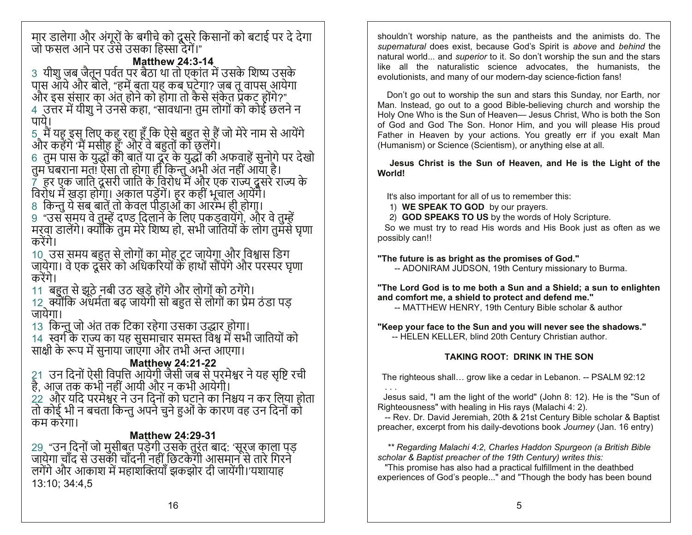मार डालेगा और अंगूरों के बगीचे को दूसरे किसानों को बटाई पर दे देगा जो फसल आने पर उसे उसका हिस्सा देगें।"

# **Matthew 24:3-14**

3 यीशू जब जैतून पर्वत पर बैठा था तो एकांत में उसके शिष्य उसके पास ऑये और बोले, "हमें बता यह कब घटेगा? जब तू वापस आयेगा ,और इस संसार का अंत होने को होगा तो कैसे संकेत प्रकट होंगे?" 4 उत्तर में यीशु ने उनसे कहा, "सावधान! तुम लोगों को कोई छलने न पाये।

5ु मैं यहू इसू लिए कह रहा हूँ कि ऐसे बहुत से हैं जो मेरे नाम से आयेंगे और कहेंगे 'मैं मसीह़ हूँ' और वे बहुतों को छ्लेंगे।

6 तुम पास के युद्धों की बातें या दूर के युद्धों की अफवाहें सुनोगे पर देखो<br>तुम घबराना मत! ऐसा तो होगा ही किन्तु अभी अंत नहीं आया है। 7 हर एक जाति दूसरी जाति के विरोध में और एक राज्य दूसरे राज्य के विरोध में खडा होगा। अकाल पडेंगें। हर कहीं भूचाल आयेंगें।

8) किन्तु ये संब बातें तो केवल पीड़ाओं का आरम्भ ही होगा।

9 "उस समय वे तुम्हें दण्ड दिलानें के लिए पकड़वायेंगे, और वे तुम्हें<br>मरवा डालेंगे। क्योंकि तुम मेरे शिष्य हो, सभी जातियों के लोग तुमसे घृणा करेंगे।

10) उस समय बहुत से लोगों का मोह टूट जायेगा और विश्वास डिग<br>जा्येगा। वे एक दूसरे को अधिकरियों के हाथों सौंपेंगे और परस्पर घृणा करेंगे।

11 बहुत से झूठे नबी उठ खड़े होंगे और लोगों को ठगेंगे।

12) क्योंकि अंधेर्मता बढ़ जायेगी सो बहुत से लोगों का प्रेम ठंडा पड़<br>जायेगा।

13) किन्तु जो अंत तक टिका रहेगा उसका उद्धार होगा।

14) स्वर्ग के राज्य का यह सुसमाचार समस्त विश्व में सभी जातियों को साक्षी के रूप में सनाया जाएगा और तभी अन्त आएगा।

# **Matthew 24:21-22**

21 उन दिनों ऐसी विपत्ति आयेगी जैसी जब से परमेश्वर ने यह सष्टि रची है, आज तक कभी नहीं आयी और न कभी आयेगी।

22 और यदि परमेश्वर ने उन दिनों को घटाने का निश्चय न कर लिया होता तो कोई भी न बचता किन्तु अपने चुने हुओं के कारण वह उन दिनों को कम करेगा।

# **Matthew 24:29-31**

29 "उन दिनों जो मुसीबत पड़ेगी उसके तुरंत बाद: 'सूर्ज काला पड़ जायेगा चाँद से उसकी चाँदनी नहीं छिटकेगी आसमान से तारे गिरने लगेंगे और आकाश में महाशक्तियाँ झकझोर दी जायेंगी।'यशायाह 13:10; 34:4,5

shouldn't worship nature, as the pantheists and the animists do. The supernatural does exist, because God's Spirit is above and behind the natural world... and *superior* to it. So don't worship the sun and the stars like all the naturalistic science advocates, the humanists, the evolutionists, and many of our modern-day science-fiction fans!

Don't go out to worship the sun and stars this Sunday, nor Earth, nor Man. Instead, go out to a good Bible-believing church and worship the Holy One Who is the Sun of Heaven— Jesus Christ, Who is both the Son of God and God The Son. Honor Him, and you will please His proud Father in Heaven by your actions. You greatly err if you exalt Man (Humanism) or Science (Scientism), or anything else at all.

Jesus Christ is the Sun of Heaven, and He is the Light of the **World!** 

It's also important for all of us to remember this:

1) WE SPEAK TO GOD by our prayers.

2) GOD SPEAKS TO US by the words of Holy Scripture.

So we must try to read His words and His Book just as often as we possibly can!!

"The future is as bright as the promises of God."

-- ADONIRAM JUDSON, 19th Century missionary to Burma.

"The Lord God is to me both a Sun and a Shield; a sun to enlighten and comfort me, a shield to protect and defend me."

-- MATTHEW HENRY, 19th Century Bible scholar & author

"Keep your face to the Sun and you will never see the shadows." -- HELEN KELLER, blind 20th Century Christian author.

## **TAKING ROOT: DRINK IN THE SON**

The righteous shall... grow like a cedar in Lebanon. -- PSALM 92:12

Jesus said, "I am the light of the world" (John 8: 12). He is the "Sun of Righteousness" with healing in His rays (Malachi 4: 2).

-- Rev. Dr. David Jeremiah, 20th & 21st Century Bible scholar & Baptist preacher, excerpt from his daily-devotions book Journey (Jan. 16 entry)

\*\* Regarding Malachi 4:2, Charles Haddon Spurgeon (a British Bible scholar & Baptist preacher of the 19th Century) writes this:

"This promise has also had a practical fulfillment in the deathbed experiences of God's people..." and "Though the body has been bound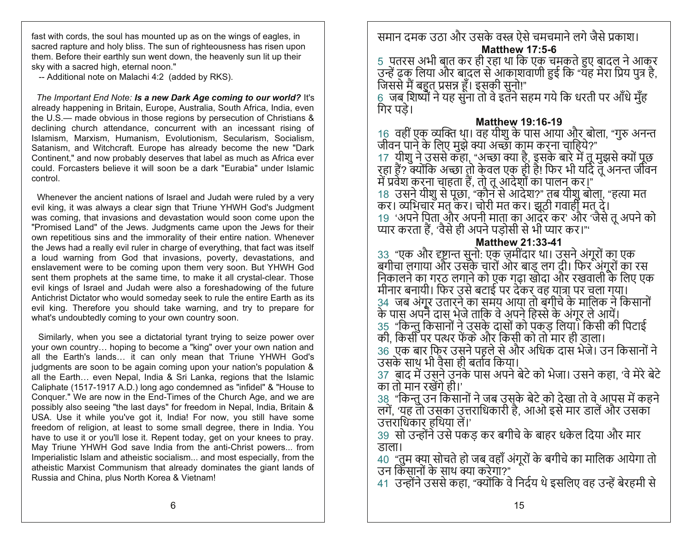fast with cords, the soul has mounted up as on the wings of eagles, in sacred rapture and holy bliss. The sun of righteousness has risen upon them. Before their earthly sun went down, the heavenly sun lit up their sky with a sacred high, eternal noon."

-- Additional note on Malachi 4:2 (added by RKS).

The Important End Note: Is a new Dark Age coming to our world? It's already happening in Britain, Europe, Australia, South Africa, India, even the U.S.— made obvious in those regions by persecution of Christians & declining church attendance, concurrent with an incessant rising of Islamism, Marxism, Humanism, Evolutionism, Secularism, Socialism, Satanism, and Witchcraft. Europe has already become the new "Dark" Continent," and now probably deserves that label as much as Africa ever could. Forcasters believe it will soon be a dark "Eurabia" under Islamic control.

Whenever the ancient nations of Israel and Judah were ruled by a very evil king, it was always a clear sign that Triune YHWH God's Judgment was coming, that invasions and devastation would soon come upon the "Promised Land" of the Jews. Judgments came upon the Jews for their own repetitious sins and the immorality of their entire nation. Whenever the Jews had a really evil ruler in charge of everything, that fact was itself a loud warning from God that invasions, poverty, devastations, and enslavement were to be coming upon them very soon. But YHWH God sent them prophets at the same time, to make it all crystal-clear. Those evil kings of Israel and Judah were also a foreshadowing of the future Antichrist Dictator who would someday seek to rule the entire Earth as its evil king. Therefore you should take warning, and try to prepare for what's undoubtedly coming to your own country soon.

Similarly, when you see a dictatorial tyrant trying to seize power over your own country... hoping to become a "king" over your own nation and all the Earth's lands... it can only mean that Triune YHWH God's judgments are soon to be again coming upon your nation's population & all the Earth... even Nepal, India & Sri Lanka, regions that the Islamic Caliphate (1517-1917 A.D.) long ago condemned as "infidel" & "House to Conquer." We are now in the End-Times of the Church Age, and we are possibly also seeing "the last days" for freedom in Nepal, India, Britain & USA. Use it while you've got it, India! For now, you still have some freedom of religion, at least to some small degree, there in India. You have to use it or you'll lose it. Repent today, get on your knees to pray. May Triune YHWH God save India from the anti-Christ powers... from Imperialistic Islam and atheistic socialism... and most especially, from the atheistic Marxist Communism that already dominates the giant lands of Russia and China, plus North Korea & Vietnam!

समान दमक उठा और उसके वस्त्र ऐसे चमचमाने लगे जैसे प्रकाश। **Matthew 17:5-6** 

5 पतरस अभी बात कर ही रहा था कि एक चमकते हुए बादल ने आकर<br>उन्हें ढ़कू लिया और बादल से आका्शवाणी हुई कि "यह मेरा प्रिय पुत्र है, जिससे मैं बहुत प्रसन्न हूँ। इसकी सुनो!"<br>6 जब शिष्यों ने यह सुना तो वे इतने सहम गये कि धरती पर आँधे मुँह

गिर पड़े।

#### **Matthew 19:16-19**

16) वहीं एक व्यक्ति था। वह यीशु के पास आया और बोला, "गुरु अनन्त जीवन पाने के लिए मुझे क्या अच्छा काम करना चाहिये?"<br>17 यीशु ने उससे कहा, "अच्छा क्या है, इसके बारे में तू मुझसे क्यों पूछ<br>रहा हैं? क्योंकि अच्छा तुो केवल एक ही है! फिर भी यदि तू अनन्त जीवन में प्रवेश करना चाहता हैं, तो तू आदेशों का पालनू कर।" 18) उसने यीशु से पूछा, "कौन से आदेश?" तब यीशु बोला, "हत्या मत कर। व्यभिचार मत केर। चोरी मत कर। झूठी गवाहीँ मत दे। 19 'अपने पिता और अपनी माता का आदेर कर' और 'जैसे तु अपने को प्यार करता हैं. 'वैसे ही अपने पडोसी से भी प्यार कर।"

### **Matthew 21:33-41**

33 "एक और दृष्टान्त सुनो: एक ज़मींदार था। उसने अंगूरों का एक बगीचा लगाया और उसके चारों ओर बाड़ लग दी। फिर अंगूरों का रस निकालने का गरठ लगाने को एक गढा खोदा और रखवाली के लिए एक मीनार बनायी। फिर उसे बटाई पर देकर वह यात्रा पर चला गया। 34 जब अंगूर उतारने का समय आया तो बंगीचे के मालिक ने किसानों के पास अपने दास भेजे ताकि वे अपने हिस्से के अंगर ले आयें। 35 "किन्तु किसानों ने उसके दासों को पंकड़ लिया। किसी की पिटाई की, किसीँ पर पत्थर फेंके और किसी को तो मार ही डाला। 36 एक बार फिर उसने पहले से और अधिक दास भेजे। उन किसानों ने उसके साथ भी वैसा ही बर्ताव किया। 37) बाद में उसने उनके पास अपने बेटे को भेजा। उसने कहा, 'वे मेरे बेटे का तो मान रखेंगे ही।' 38 "किन्तु उन किसानों ने जब उसके बेटे को देखा तो वे आपस में कहने<br>लगें, 'यह तो उसका उत्तराधिकारी है, आओ इसे मार डालें और उसका उत्तराधिकार हथिया लें।' 39) सो उन्होंने उसे पकड कर बगीचे के बाहर धकेल दिया और मार डाला। 40 "तुम क्या् सोचते हो जब वहाँ अंगूरों के बगीचे का मालिक आयेगा तो

उन किसानों के साथ क्या करेगा?"

41 उन्होंने उससे कहा. "क्योंकि वे निर्दय थे इसलिए वह उन्हें बेरहमी से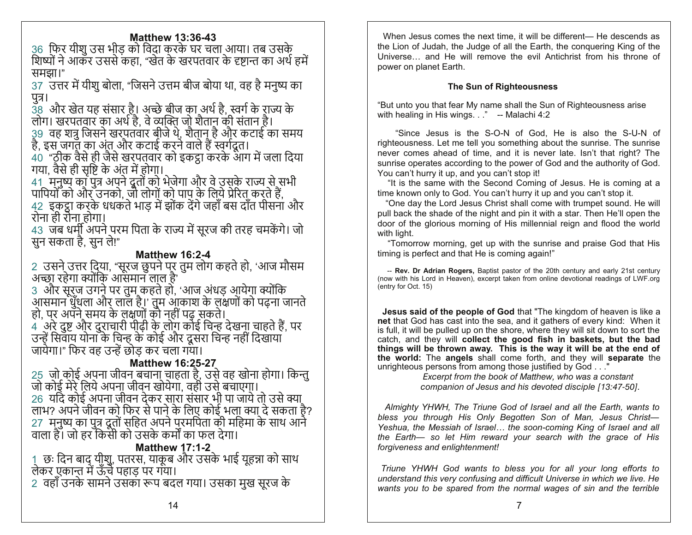# **Matthew 13:36-43**

36 फिर यीशु उस भीड़ को विदा करके घर चला आया। तब उसके शिष्यों ने आकर उससे कहा, "खेत के खरपतवार के दृष्टान्त का अर्थ हमें समझा।"

37) उत्तर में यीशु बोला, "जिसने उत्तम बीज बोया था, वह है मनुष्य का पुत्र।

उँ8) और खेत यह संसार है। अच्छे बीज का अर्थ है. स्वर्ग के राज्य के लोग। खरपतवार का अर्थ है, वे व्यक्ति जो शैतान की संतान है।

39) वह शत्रु जिसने खरपतवार बीजे थे, शैतान है और कटाई का समय है, इस जगत का अंत और कटाई करने वाले हैं स्वर्गदूत।<br>40 "ठीक वैसे ही जैसे खरपतवार को इकट्ठा करके आग में जला दिया

गया. वैसे ही सष्टि के अंत में होगा।

41 मनुष्य का पुत्र अपने दूतों को भेजेगा और वे उसके राज्य से सभी पापियोँ को और उनको. जौ लोगों को पाप के लिये प्रेरित करते हैं,

42 इकट्ठा करके धधकते भाड़ में झोंक देंगे जहाँ बस दोँत पीसना और रोना ही रोना होगा।

43) जब धर्मी अपने परम पिता के राज्य में सुरज की तरह चमकेंगे। जो सन सकता है. सन ले!"

**Matthew 16:2-4** 

2 उसने उत्तर दिया, "सूरज छुपने पर तुम लोग कहते हो, 'आज मौसम अच्छा रहेगा क्योंकि आसमान लाल है'

3) और सुरज उगने पर तुम कहते हो, 'आज अंधड आयेगा क्योंकि ँ आसमान धुँधला और लाल है।' तुम आकाश के लक्षणों को पढ़ना जानते<br>हो, पर अपने समय के लक्षूणों को नहीं पढ़ सकते।

4 अरे दुष्ट और दुराचारी पीढ़ी के लोग कोई चिन्ह देखना चाहते हैं, पर उन्हें सिवाय योना के चिन्ह के कोई और दूसरा चिन्ह नहीं दिखाया जायेगा।" फिर वह उन्हें छोड कर चला गया।

# **Matthew 16:25-27**

25) जो कोई अपना जीवन बचाना चाहता है. उसे वह खोना होगा। किन्तु जो कोई मेरे लिये अपना जीवन खोयेगा, वहीं उसे बचाएगा। 26 यदि कोई अपना जीवन देकर सारा संसार भी पा जाये तो उसे क्या लाभ? अपने जीवन को फिर से पाने के लिए कोई भला क्या दे सकता है? 27) मनुष्य का पुत्र दूतों सहित अपने परमपिंता की महिमा के साथ आने<br>वाला है। जो हर किसी को उसके कर्मों का फल देगा।

# **Matthew 17:1-2**

1 छः दिन बाद् यी़शु, पतरस, याकूब और उसके भाई यूहन्ना को साथ लेकर एकान्त में ऊँचे पहाड पर गया।

2) वहाँ उनके सामने उसका रूप बदल गया। उसका मुख सूरज के

When Jesus comes the next time, it will be different— He descends as the Lion of Judah, the Judge of all the Earth, the conquering King of the Universe... and He will remove the evil Antichrist from his throne of power on planet Earth.

#### **The Sun of Righteousness**

"But unto you that fear My name shall the Sun of Righteousness arise with healing in His wings. . ." -- Malachi 4:2

"Since Jesus is the S-O-N of God, He is also the S-U-N of righteousness. Let me tell you something about the sunrise. The sunrise never comes ahead of time, and it is never late. Isn't that right? The sunrise operates according to the power of God and the authority of God. You can't hurry it up, and you can't stop it!

"It is the same with the Second Coming of Jesus. He is coming at a time known only to God. You can't hurry it up and you can't stop it.

"One day the Lord Jesus Christ shall come with trumpet sound. He will pull back the shade of the night and pin it with a star. Then He'll open the door of the glorious morning of His millennial reign and flood the world with light.

"Tomorrow morning, get up with the sunrise and praise God that His timing is perfect and that He is coming again!"

-- Rev. Dr Adrian Rogers, Baptist pastor of the 20th century and early 21st century (now with his Lord in Heaven), excerpt taken from online devotional readings of LWF.org (entry for Oct. 15)

Jesus said of the people of God that "The kingdom of heaven is like a net that God has cast into the sea, and it gathers of every kind: When it is full, it will be pulled up on the shore, where they will sit down to sort the catch, and they will collect the good fish in baskets, but the bad things will be thrown away. This is the way it will be at the end of the world: The angels shall come forth, and they will separate the unrighteous persons from among those justified by God . . ."

> Excerpt from the book of Matthew, who was a constant companion of Jesus and his devoted disciple [13:47-50].

Almighty YHWH. The Triune God of Israel and all the Earth, wants to bless you through His Only Begotten Son of Man, Jesus Christ-Yeshua, the Messiah of Israel... the soon-coming King of Israel and all the Earth- so let Him reward your search with the grace of His forgiveness and enlightenment!

Triune YHWH God wants to bless you for all your long efforts to understand this very confusing and difficult Universe in which we live. He wants you to be spared from the normal wages of sin and the terrible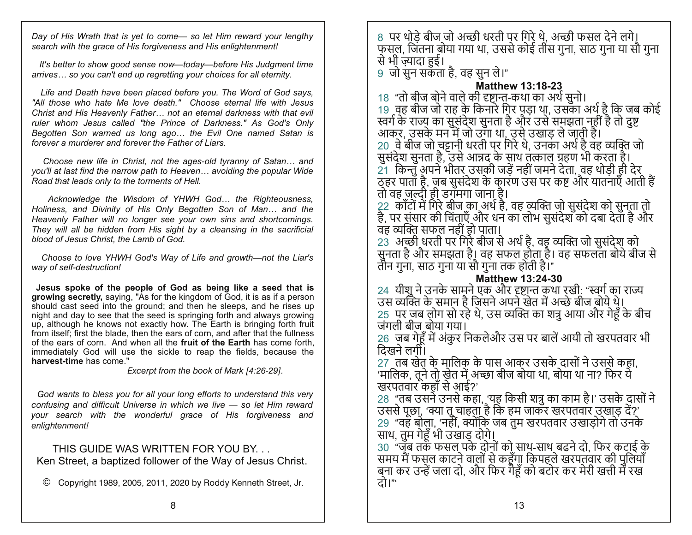8 पर थोड़े बीज जो अच्छी धरती पर गिरे थे. अच्छी फसल देने लगे। Day of His Wrath that is yet to come— so let Him reward your lengthy search with the grace of His forgiveness and His enlightenment! फसल, जिंतना बोया गया था, उससे कोई तीस गुना, साठ गुना या सौ गुना से भी ज़्यादा हुई। It's better to show good sense now-today-before His Judgment time 9 जो सुन सकता है. वह सुन ले।" arrives... so you can't end up regretting your choices for all eternity. **Matthew 13:18-23** Life and Death have been placed before you. The Word of God says, 18 "तो बीज बोने वाले की दृष्टान्त-कथा का अर्थ सुनो। "All those who hate Me love death." Choose eternal life with Jesus 19) वह बीज जो राह के किनारे गिर पड़ा था, उसका अर्थ है कि जब कोई Christ and His Heavenly Father... not an eternal darkness with that evil स्वर्ग के राज्य का सुसंदेश सुनता है और उसे समझता नहीं है तो दुष्ट ruler whom Jesus called "the Prince of Darkness." As God's Only आंकर. उसके मन में जो उँगा था, उसे उखाड़ ले जाूती है। Begotten Son warned us long ago... the Evil One named Satan is forever a murderer and forever the Father of Liars. 20) वे बीज जो चट्टानी धरती पर गिरे थे, उनका अर्थ है वह व्यक्ति जो सुसंदेश सुनता है, उसे आन्नद के साथ तत्काल ग्रहण भी करता है। Choose new life in Christ, not the ages-old tyranny of Satan... and 21) किन्तु अपने भीतर उसकी जड़ें नहीं जमने देता. वह थोडी ही देर you'll at last find the narrow path to Heaven... avoiding the popular Wide ठहर पातॉ है, जब सुसंदेश के कारण उस पर कष्ट और यातनाएँ आती हैं Road that leads only to the torments of Hell. तो वह जल्दी ही डगमगा जाना है। Acknowledge the Wisdom of YHWH God... the Righteousness, 22) कॉंटों में गिरे बीज का अर्थ है, वह व्यक्ति जो सुसंदेश को सुनता तो Holiness, and Divinity of His Only Begotten Son of Man... and the है, पर संसार की चिंताएँ और धन का लोभ सुसंदेश को दबा देता है और Heavenly Father will no longer see your own sins and shortcomings. वह व्यक्ति सफल नहीं हो पाता। They will all be hidden from His sight by a cleansing in the sacrificial blood of Jesus Christ, the Lamb of God. 23) अच्छी धरती पर गिरे बीज से अर्थ है, वह व्यक्ति जो सुसंदेश को सुनता है और समझता है। वह सफल होता है। वह सफलता बोये बीज से Choose to love YHWH God's Way of Life and growth-not the Liar's तीन गुना, साठ गुना या सौ गुना तक होती है।" way of self-destruction! **Matthew 13:24-30** 24 यीश ने उनके सामने एक और दृष्टान्त कथा रखी: "स्वर्ग का राज्य Jesus spoke of the people of God as being like a seed that is growing secretly, saying, "As for the kingdom of God, it is as if a person उस व्यक्ति के समान है जिसने अपने खेत में अच्छे बीज बोये थे। should cast seed into the ground; and then he sleeps, and he rises up 25 पर जब लोग सो रहे थे. उस व्यक्ति का शत्र आया और गेहँ के बीच night and day to see that the seed is springing forth and always growing up, although he knows not exactly how. The Earth is bringing forth fruit जंगली बीज बोया गया। from itself; first the blade, then the ears of corn, and after that the fullness 26 जब गेहूँ में अंकूर निकलेऔर उस पर बालें आयी तो खरपतवार भी of the ears of corn. And when all the **fruit of the Earth** has come forth, दिखने लगीं। immediately God will use the sickle to reap the fields, because the 27) तब खेत के मालिक के पास आकर उसके दासों ने उससे कहा, harvest-time has come." Excerpt from the book of Mark [4:26-29]. 'मालिक. तने तो खेत में अच्छा बीज बोया था. बोया था ना? फिर ये खरपतवार कहाँ से आई?' God wants to bless you for all your long efforts to understand this very 28 "तब उसने उनसे कहा, 'यह किसी शत्रु का काम है।' उसके दासों ने confusing and difficult Universe in which we live - so let Him reward उससे पूछा, 'क्या तू चाहता है कि हम जाकॅर खरपतवार उखाड़ दें?' your search with the wonderful grace of His forgiveness and 29 "वहं बोला, 'नहीं, क्योंकि जब तुम खरपतवार उखाडोगे तो उनके enlightenment! साथ, तुम गेहँ भी उखाड दोगे। 30 "जॅब तकें फसल पके दोनों को साथ-साथ बढने दो, फिर कटाई के THIS GUIDE WAS WRITTEN FOR YOU BY... समय मैं फसल काटने वालों से कहूँगा किपहले खरपतवार की पुलियाँ Ken Street, a baptized follower of the Way of Jesus Christ. बना कर उन्हें जला दो. और फिर गैहँ को बटोर कर मेरी खत्ती में रख त्ते।"' © Copyright 1989, 2005, 2011, 2020 by Roddy Kenneth Street, Jr.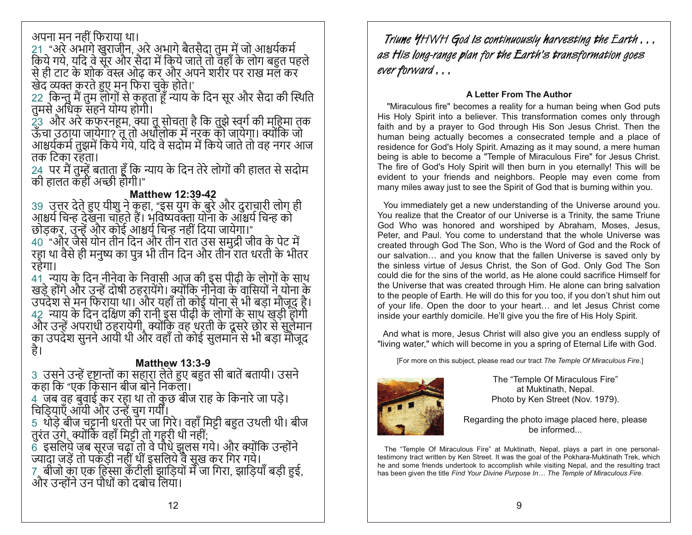अपना मन नहीं फिराया था।

21 "अरे अभागे खुराजीन, अरे अभागे बैतसैदा तुम में जो आश्चर्यकर्म किये गये, यदि वे सूर और सैदा में किये जाते तो वहाँ के लोग बहुत पहले<br>से ही टाट के शोक वस्त्र ओढ़ कर और अपने शरीर पर राख मल कर खेद व्यक्त करते हुए मन् फिरा चुके होते।'

22 किन्तु मैं तुम लोगों से कहता हूँ न्याय के दिन सूर और सैदा की स्थिति तमसे अधिक सहने योग्य होगी।

ैं .<br>23 और अरे कफरनहूम, क्या तू सोचता है कि तुझे स्वर्ग की महिमा तक<br>ऊँचा उठाया जायेगा? तू तो अधोलोक में नरक को जायेगा। क्योंकि जो तक टिका रहता।

24 पर मैं तुम्हें बताता हूँ कि न्याय के दिन तेरे लोगों की हालत से सदोम की हालत कहीं अच्छी होगी।"

# **Matthew 12:39-42**

39) उत्तर देते हुए यीशु ने कहा, "इस युग के बुरे और दुराचारी लोग ही<br>आश्चर्य चिन्ह देखना चा्हते हैं। भूविष्यवक्ता योना के आश्चर्य चिन्ह को छोड़कर्, उन्हें और कोई आश्चर्यू चिन्ह नहीं दिया जायेगा।" ँ । "और जैसे योन तीन दिन और तीन रात उस समुद्री जीव के पेट में<br>रहा था वैसे ही मनुष्य का पुत्र भी तीन दिन और तीन रात धरती के भीतर रहेगा।

41 स्याय के दिन नीनेवा के निवासी आज की इस पीढ़ी के लोगों के साथ खडे होंगे और उन्हें दोषी ठहरायेंगे। क्योंकि नीनेवा के वासियों ने योना के उपदेश से मन फिराया था। और यहाँ तो कोई योना से भी बड़ा मौजूद है। 42 न्याय के दिन दक्षिण की रानी इस पीढ़ी के लोगों के साथ खड़ी होगी ै और उन्हें अपराधी ठहरायेगी, क्योंकि वह धरती के दूसरे छोर से सुलेमान<br>का उपदेश सुनने आयी थी और वहाँ तो कोई सुलमान से भी बड़ा मौजूद है।

# **Matthew 13:3-9**

3) उसने उन्हें दृष्टान्तों का सहारा लेते हुए बहुत सी बातें बतायी। उसने कहा कि "एक किसान बीज बोने निकला।

4) जब वह बुवाई कर रहा था तो कुछ बीज राह के किनारे जा पड़े।<br>चिड़ियाएँ आयी और उन्हें चुग गयी।

5 थोड़े बीज चट्टानी धरती पर जा गिरे। वहाँ मिट्टी बहुत उथली थी। बीज तरंत उंगे, क्योंकि वहाँ मिट्टी तो गहुरी थी नहीं;

हैं : इसलिये जब सूरज चढ़ा तो वे पौधे झुलस गये। और क्योंकि उन्होंने<br>ज्यादा जड़ें तो पकड़ी नहीं थीं इसलिये वे सूख कर गिर गये। 7 बीजो का एक हिस्सा कँटीली झाड़ियों में जा गिरा, झाडियाँ बडी हई. और उन्होंने उन पौधों को दबोच लिया।

Triune YHWH God is continuously harvesting the Earth ... as His long-range plan for the Earth's transformation goes ever forward...

## **A Letter From The Author**

"Miraculous fire" becomes a reality for a human being when God puts His Holy Spirit into a believer. This transformation comes only through faith and by a prayer to God through His Son Jesus Christ. Then the human being actually becomes a consecrated temple and a place of residence for God's Holy Spirit. Amazing as it may sound, a mere human being is able to become a "Temple of Miraculous Fire" for Jesus Christ. The fire of God's Holy Spirit will then burn in you eternally! This will be evident to your friends and neighbors. People may even come from many miles away just to see the Spirit of God that is burning within you.

You immediately get a new understanding of the Universe around you. You realize that the Creator of our Universe is a Trinity, the same Triune God Who was honored and worshiped by Abraham, Moses, Jesus, Peter, and Paul. You come to understand that the whole Universe was created through God The Son, Who is the Word of God and the Rock of our salvation... and you know that the fallen Universe is saved only by the sinless virtue of Jesus Christ, the Son of God. Only God The Son could die for the sins of the world, as He alone could sacrifice Himself for the Universe that was created through Him. He alone can bring salvation to the people of Earth. He will do this for you too, if you don't shut him out of your life. Open the door to your heart... and let Jesus Christ come inside your earthly domicile. He'll give you the fire of His Holy Spirit.

And what is more, Jesus Christ will also give you an endless supply of "living water," which will become in you a spring of Eternal Life with God.

[For more on this subject, please read our tract The Temple Of Miraculous Fire.]



The "Temple Of Miraculous Fire" at Muktinath. Nepal. Photo by Ken Street (Nov. 1979).

Regarding the photo image placed here, please be informed

The "Temple Of Miraculous Fire" at Muktinath, Nepal, plays a part in one personaltestimony tract written by Ken Street. It was the goal of the Pokhara-Muktinath Trek, which he and some friends undertook to accomplish while visiting Nepal, and the resulting tract has been given the title Find Your Divine Purpose In... The Temple of Miraculous Fire.